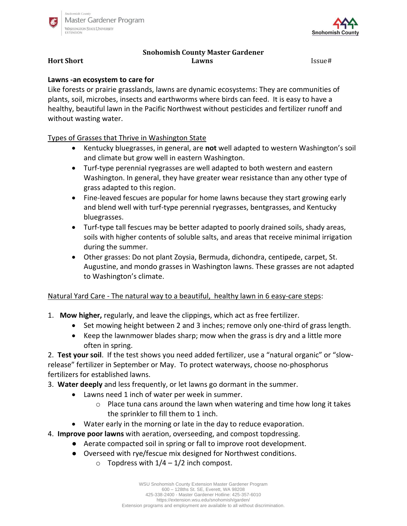



## **Snohomish County Master Gardener**

**Hort Short Lawns** Issue#

## **Lawns -an ecosystem to care for**

Like forests or prairie grasslands, lawns are dynamic ecosystems: They are communities of plants, soil, microbes, insects and earthworms where birds can feed. It is easy to have a healthy, beautiful lawn in the Pacific Northwest without pesticides and fertilizer runoff and without wasting water.

## Types of Grasses that Thrive in Washington State

- Kentucky bluegrasses, in general, are **not** well adapted to western Washington's soil and climate but grow well in eastern Washington.
- Turf-type perennial ryegrasses are well adapted to both western and eastern Washington. In general, they have greater wear resistance than any other type of grass adapted to this region.
- Fine-leaved fescues are popular for home lawns because they start growing early and blend well with turf-type perennial ryegrasses, bentgrasses, and Kentucky bluegrasses.
- Turf-type tall fescues may be better adapted to poorly drained soils, shady areas, soils with higher contents of soluble salts, and areas that receive minimal irrigation during the summer.
- Other grasses: Do not plant Zoysia, Bermuda, dichondra, centipede, carpet, St. Augustine, and mondo grasses in Washington lawns. These grasses are not adapted to Washington's climate.

## Natural Yard Care - The natural way to a beautiful, healthy lawn in 6 easy-care steps:

- 1. **Mow higher,** regularly, and leave the clippings, which act as free fertilizer.
	- Set mowing height between 2 and 3 inches; remove only one-third of grass length.
	- Keep the lawnmower blades sharp; mow when the grass is dry and a little more often in spring.

2. **Test your soil**. If the test shows you need added fertilizer, use a "natural organic" or "slowrelease" fertilizer in September or May. To protect waterways, choose no-phosphorus fertilizers for established lawns.

- 3. **Water deeply** and less frequently, or let lawns go dormant in the summer.
	- Lawns need 1 inch of water per week in summer.
		- $\circ$  Place tuna cans around the lawn when watering and time how long it takes the sprinkler to fill them to 1 inch.
	- Water early in the morning or late in the day to reduce evaporation.
- 4. **Improve poor lawns** with aeration, overseeding, and compost topdressing.
	- Aerate compacted soil in spring or fall to improve root development.
	- Overseed with rye/fescue mix designed for Northwest conditions.
		- $\circ$  Topdress with  $1/4 1/2$  inch compost.